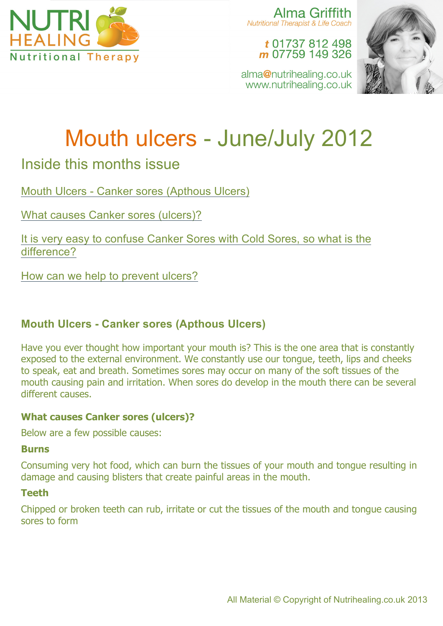

Alma Griffith Nutritional Therapist & Life Coach

> t 01737 812 498 m 07759 149 326



alma@nutrihealing.co.uk www.nutrihealing.co.uk

# Mouth ulcers - June/July 2012

# Inside this months issue

Mouth Ulcers - Canker sores (Apthous Ulcers)

What causes Canker sores (ulcers)?

It is very easy to confuse Canker Sores with Cold Sores, so what is the difference?

How can we help to prevent ulcers?

# **Mouth Ulcers - Canker sores (Apthous Ulcers)**

Have you ever thought how important your mouth is? This is the one area that is constantly exposed to the external environment. We constantly use our tongue, teeth, lips and cheeks to speak, eat and breath. Sometimes sores may occur on many of the soft tissues of the mouth causing pain and irritation. When sores do develop in the mouth there can be several different causes.

# **What causes Canker sores (ulcers)?**

Below are a few possible causes:

#### **Burns**

Consuming very hot food, which can burn the tissues of your mouth and tongue resulting in damage and causing blisters that create painful areas in the mouth.

# **Teeth**

Chipped or broken teeth can rub, irritate or cut the tissues of the mouth and tongue causing sores to form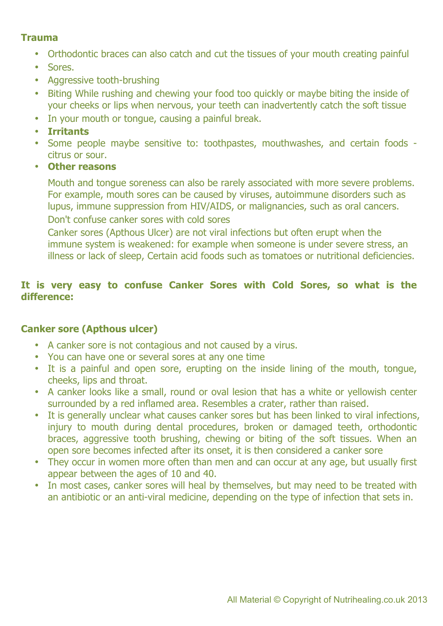# **Trauma**

- Orthodontic braces can also catch and cut the tissues of your mouth creating painful
- Sores.
- Aggressive tooth-brushing
- Biting While rushing and chewing your food too quickly or maybe biting the inside of your cheeks or lips when nervous, your teeth can inadvertently catch the soft tissue
- In your mouth or tongue, causing a painful break.
- **Irritants**
- Some people maybe sensitive to: toothpastes, mouthwashes, and certain foods citrus or sour.
- **Other reasons**

Mouth and tongue soreness can also be rarely associated with more severe problems. For example, mouth sores can be caused by viruses, autoimmune disorders such as lupus, immune suppression from HIV/AIDS, or malignancies, such as oral cancers. Don't confuse canker sores with cold sores

Canker sores (Apthous Ulcer) are not viral infections but often erupt when the immune system is weakened: for example when someone is under severe stress, an illness or lack of sleep, Certain acid foods such as tomatoes or nutritional deficiencies.

# **It is very easy to confuse Canker Sores with Cold Sores, so what is the difference:**

# **Canker sore (Apthous ulcer)**

- A canker sore is not contagious and not caused by a virus.
- You can have one or several sores at any one time
- It is a painful and open sore, erupting on the inside lining of the mouth, tongue, cheeks, lips and throat.
- A canker looks like a small, round or oval lesion that has a white or yellowish center surrounded by a red inflamed area. Resembles a crater, rather than raised.
- It is generally unclear what causes canker sores but has been linked to viral infections, injury to mouth during dental procedures, broken or damaged teeth, orthodontic braces, aggressive tooth brushing, chewing or biting of the soft tissues. When an open sore becomes infected after its onset, it is then considered a canker sore
- They occur in women more often than men and can occur at any age, but usually first appear between the ages of 10 and 40.
- In most cases, canker sores will heal by themselves, but may need to be treated with an antibiotic or an anti-viral medicine, depending on the type of infection that sets in.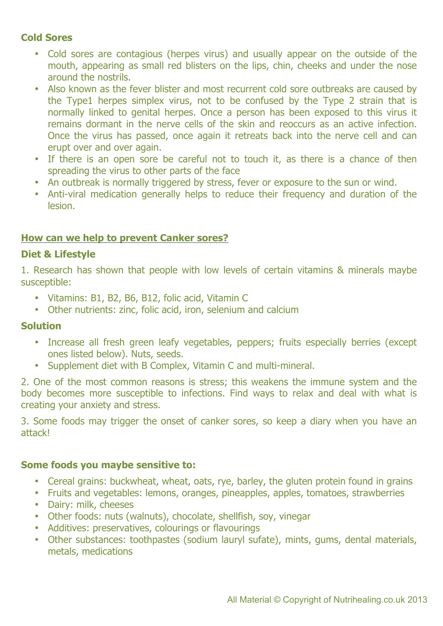# **Cold Sores**

- Cold sores are contagious (herpes virus) and usually appear on the outside of the mouth, appearing as small red blisters on the lips, chin, cheeks and under the nose around the nostrils.
- Also known as the fever blister and most recurrent cold sore outbreaks are caused by the Type1 herpes simplex virus, not to be confused by the Type 2 strain that is normally linked to genital herpes. Once a person has been exposed to this virus it remains dormant in the nerve cells of the skin and reoccurs as an active infection. Once the virus has passed, once again it retreats back into the nerve cell and can erupt over and over again.
- If there is an open sore be careful not to touch it, as there is a chance of then spreading the virus to other parts of the face
- An outbreak is normally triggered by stress, fever or exposure to the sun or wind.
- Anti-viral medication generally helps to reduce their frequency and duration of the lesion.

#### **How can we help to prevent Canker sores?**

#### **Diet & Lifestyle**

1. Research has shown that people with low levels of certain vitamins & minerals maybe susceptible:

- Vitamins: B1, B2, B6, B12, folic acid, Vitamin C
- Other nutrients: zinc, folic acid, iron, selenium and calcium

#### **Solution**

- Increase all fresh green leafy vegetables, peppers; fruits especially berries (except ones listed below). Nuts, seeds.
- Supplement diet with B Complex, Vitamin C and multi-mineral.

2. One of the most common reasons is stress; this weakens the immune system and the body becomes more susceptible to infections. Find ways to relax and deal with what is creating your anxiety and stress.

3. Some foods may trigger the onset of canker sores, so keep a diary when you have an attack!

#### **Some foods you maybe sensitive to:**

- Cereal grains: buckwheat, wheat, oats, rye, barley, the gluten protein found in grains
- Fruits and vegetables: lemons, oranges, pineapples, apples, tomatoes, strawberries
- Dairy: milk, cheeses
- Other foods: nuts (walnuts), chocolate, shellfish, soy, vinegar
- Additives: preservatives, colourings or flavourings
- Other substances: toothpastes (sodium lauryl sufate), mints, gums, dental materials, metals, medications